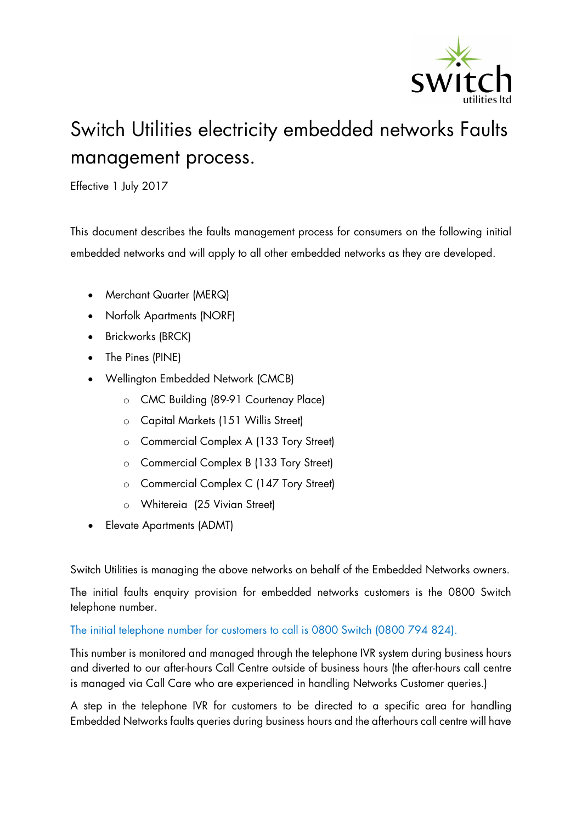

## Switch Utilities electricity embedded networks Faults management process.

Effective 1 July 2017

This document describes the faults management process for consumers on the following initial embedded networks and will apply to all other embedded networks as they are developed.

- Merchant Quarter (MERQ)
- Norfolk Apartments (NORF)
- Brickworks (BRCK)
- The Pines (PINE)
- Wellington Embedded Network (CMCB)
	- o CMC Building (89-91 Courtenay Place)
	- o Capital Markets (151 Willis Street)
	- o Commercial Complex A (133 Tory Street)
	- o Commercial Complex B (133 Tory Street)
	- o Commercial Complex C (147 Tory Street)
	- o Whitereia (25 Vivian Street)
- Elevate Apartments (ADMT)

Switch Utilities is managing the above networks on behalf of the Embedded Networks owners.

The initial faults enquiry provision for embedded networks customers is the 0800 Switch telephone number.

## The initial telephone number for customers to call is 0800 Switch (0800 794 824).

This number is monitored and managed through the telephone IVR system during business hours and diverted to our after-hours Call Centre outside of business hours (the after-hours call centre is managed via Call Care who are experienced in handling Networks Customer queries.)

A step in the telephone IVR for customers to be directed to a specific area for handling Embedded Networks faults queries during business hours and the afterhours call centre will have